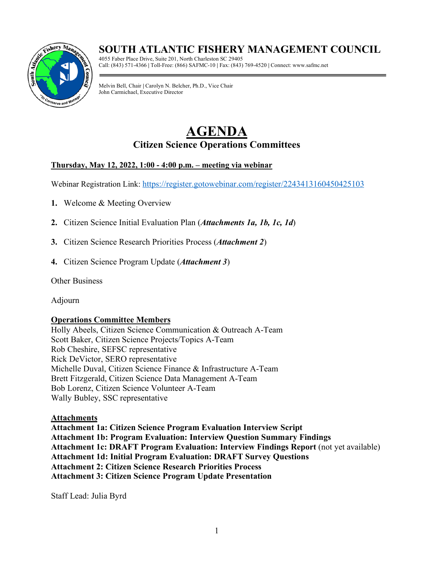# **SOUTH ATLANTIC FISHERY MANAGEMENT COUNCIL**



4055 Faber Place Drive, Suite 201, North Charleston SC 29405 Call: (843) 571-4366 **|** Toll-Free: (866) SAFMC-10 **|** Fax: (843) 769-4520 **|** Connect: www.safmc.net

Melvin Bell, Chair **|** Carolyn N. Belcher, Ph.D., Vice Chair John Carmichael, Executive Director

# **AGENDA Citizen Science Operations Committees**

# **Thursday, May 12, 2022, 1:00 - 4:00 p.m. – meeting via webinar**

Webinar Registration Link:<https://register.gotowebinar.com/register/2243413160450425103>

- **1.** Welcome & Meeting Overview
- **2.** Citizen Science Initial Evaluation Plan (*Attachments 1a, 1b, 1c, 1d*)
- **3.** Citizen Science Research Priorities Process (*Attachment 2*)
- **4.** Citizen Science Program Update (*Attachment 3*)

Other Business

Adjourn

## **Operations Committee Members**

Holly Abeels, Citizen Science Communication & Outreach A-Team Scott Baker, Citizen Science Projects/Topics A-Team Rob Cheshire, SEFSC representative Rick DeVictor, SERO representative Michelle Duval, Citizen Science Finance & Infrastructure A-Team Brett Fitzgerald, Citizen Science Data Management A-Team Bob Lorenz, Citizen Science Volunteer A-Team Wally Bubley, SSC representative

## **Attachments**

**Attachment 1a: Citizen Science Program Evaluation Interview Script Attachment 1b: Program Evaluation: Interview Question Summary Findings Attachment 1c: DRAFT Program Evaluation: Interview Findings Report** (not yet available) **Attachment 1d: Initial Program Evaluation: DRAFT Survey Questions Attachment 2: Citizen Science Research Priorities Process Attachment 3: Citizen Science Program Update Presentation**

Staff Lead: Julia Byrd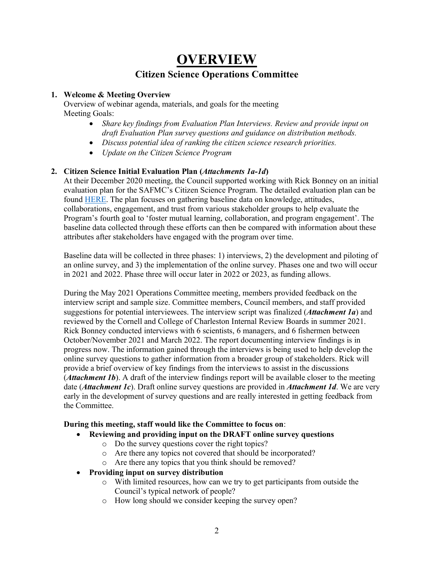# **OVERVIEW Citizen Science Operations Committee**

#### **1. Welcome & Meeting Overview**

Overview of webinar agenda, materials, and goals for the meeting Meeting Goals:

- *Share key findings from Evaluation Plan Interviews. Review and provide input on draft Evaluation Plan survey questions and guidance on distribution methods.*
- *Discuss potential idea of ranking the citizen science research priorities.*
- *Update on the Citizen Science Program*

## **2. Citizen Science Initial Evaluation Plan (***Attachments 1a-1d***)**

At their December 2020 meeting, the Council supported working with Rick Bonney on an initial evaluation plan for the SAFMC's Citizen Science Program. The detailed evaluation plan can be found [HERE.](https://safmc.net/download/BB%20Council%20Meeting%20Dec%202020/Citizen%20Science/CitSci_A02_SAFMC_CitSciProgramEvaluationProposal.pdf) The plan focuses on gathering baseline data on knowledge, attitudes, collaborations, engagement, and trust from various stakeholder groups to help evaluate the Program's fourth goal to 'foster mutual learning, collaboration, and program engagement'. The baseline data collected through these efforts can then be compared with information about these attributes after stakeholders have engaged with the program over time.

Baseline data will be collected in three phases: 1) interviews, 2) the development and piloting of an online survey, and 3) the implementation of the online survey. Phases one and two will occur in 2021 and 2022. Phase three will occur later in 2022 or 2023, as funding allows.

During the May 2021 Operations Committee meeting, members provided feedback on the interview script and sample size. Committee members, Council members, and staff provided suggestions for potential interviewees. The interview script was finalized (*Attachment 1a*) and reviewed by the Cornell and College of Charleston Internal Review Boards in summer 2021. Rick Bonney conducted interviews with 6 scientists, 6 managers, and 6 fishermen between October/November 2021 and March 2022. The report documenting interview findings is in progress now. The information gained through the interviews is being used to help develop the online survey questions to gather information from a broader group of stakeholders. Rick will provide a brief overview of key findings from the interviews to assist in the discussions (*Attachment 1b*). A draft of the interview findings report will be available closer to the meeting date (*Attachment 1c*). Draft online survey questions are provided in *Attachment 1d*. We are very early in the development of survey questions and are really interested in getting feedback from the Committee.

#### **During this meeting, staff would like the Committee to focus on**:

- **Reviewing and providing input on the DRAFT online survey questions**
	- o Do the survey questions cover the right topics?
	- o Are there any topics not covered that should be incorporated?
	- o Are there any topics that you think should be removed?
- **Providing input on survey distribution**
	- o With limited resources, how can we try to get participants from outside the Council's typical network of people?
	- o How long should we consider keeping the survey open?